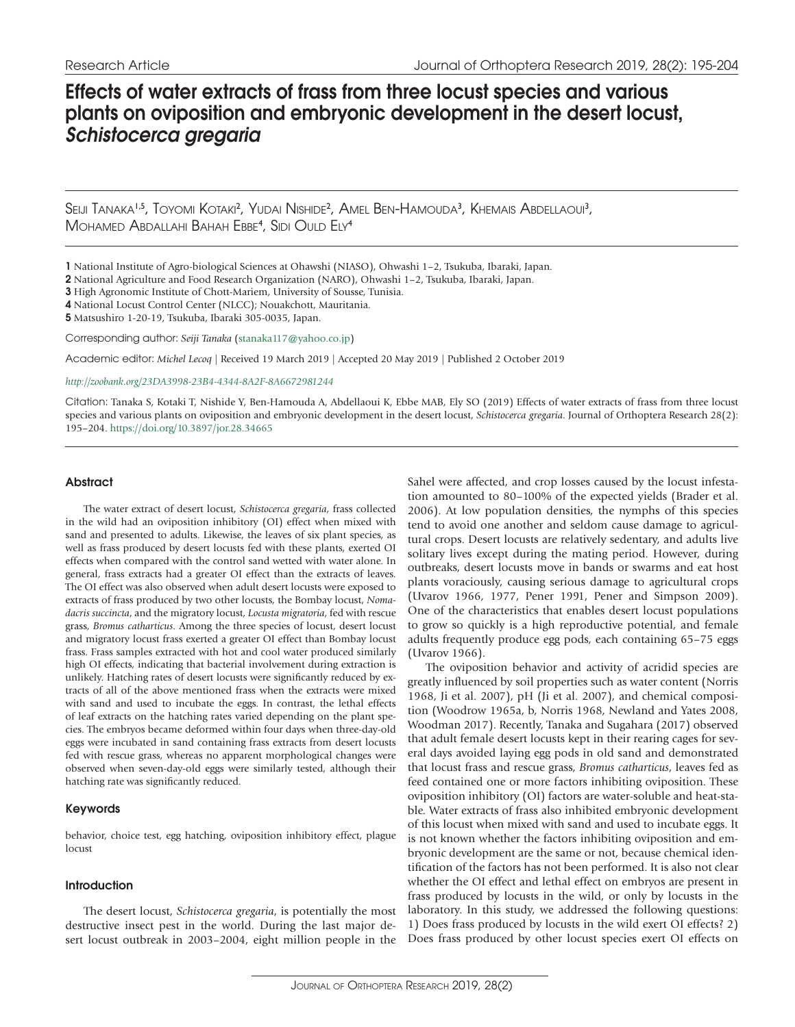# Effects of water extracts of frass from three locust species and various plants on oviposition and embryonic development in the desert locust, *Schistocerca gregaria*

Seiji Tanaka<sup>i,s</sup>, Toyomi Kotaki<sup>2</sup>, Yudai Nishide<sup>2</sup>, Amel Ben-Hamouda<sup>3</sup>, Khemais Abdellaoui<sup>3</sup>, Mohamed Abdallahi Bahah Ebbe<sup>4</sup>, Sidi Ould Ely<sup>4</sup>

1 National Institute of Agro-biological Sciences at Ohawshi (NIASO), Ohwashi 1–2, Tsukuba, Ibaraki, Japan.

2 National Agriculture and Food Research Organization (NARO), Ohwashi 1–2, Tsukuba, Ibaraki, Japan.

3 High Agronomic Institute of Chott-Mariem, University of Sousse, Tunisia.

4 National Locust Control Center (NLCC); Nouakchott, Mauritania.

5 Matsushiro 1-20-19, Tsukuba, Ibaraki 305-0035, Japan.

Corresponding author: *Seiji Tanaka* ([stanaka117@yahoo.co.jp\)](mailto:stanaka117@yahoo.co.jp)

Academic editor: *Michel Lecoq* | Received 19 March 2019 | Accepted 20 May 2019 | Published 2 October 2019

*<http://zoobank.org/23DA3998-23B4-4344-8A2F-8A6672981244>*

Citation: Tanaka S, Kotaki T, Nishide Y, Ben-Hamouda A, Abdellaoui K, Ebbe MAB, Ely SO (2019) Effects of water extracts of frass from three locust species and various plants on oviposition and embryonic development in the desert locust, *Schistocerca gregaria*. Journal of Orthoptera Research 28(2): 195–204. <https://doi.org/10.3897/jor.28.34665>

## **Abstract**

The water extract of desert locust, *Schistocerca gregaria*, frass collected in the wild had an oviposition inhibitory (OI) effect when mixed with sand and presented to adults. Likewise, the leaves of six plant species, as well as frass produced by desert locusts fed with these plants, exerted OI effects when compared with the control sand wetted with water alone. In general, frass extracts had a greater OI effect than the extracts of leaves. The OI effect was also observed when adult desert locusts were exposed to extracts of frass produced by two other locusts, the Bombay locust, *Nomadacris succincta*, and the migratory locust, *Locusta migratoria*, fed with rescue grass, *Bromus catharticus*. Among the three species of locust, desert locust and migratory locust frass exerted a greater OI effect than Bombay locust frass. Frass samples extracted with hot and cool water produced similarly high OI effects, indicating that bacterial involvement during extraction is unlikely. Hatching rates of desert locusts were significantly reduced by extracts of all of the above mentioned frass when the extracts were mixed with sand and used to incubate the eggs. In contrast, the lethal effects of leaf extracts on the hatching rates varied depending on the plant species. The embryos became deformed within four days when three-day-old eggs were incubated in sand containing frass extracts from desert locusts fed with rescue grass, whereas no apparent morphological changes were observed when seven-day-old eggs were similarly tested, although their hatching rate was significantly reduced.

# Keywords

behavior, choice test, egg hatching, oviposition inhibitory effect, plague locust

# Introduction

The desert locust, *Schistocerca gregaria*, is potentially the most destructive insect pest in the world. During the last major desert locust outbreak in 2003–2004, eight million people in the

Sahel were affected, and crop losses caused by the locust infestation amounted to 80–100% of the expected yields (Brader et al. 2006). At low population densities, the nymphs of this species tend to avoid one another and seldom cause damage to agricultural crops. Desert locusts are relatively sedentary, and adults live solitary lives except during the mating period. However, during outbreaks, desert locusts move in bands or swarms and eat host plants voraciously, causing serious damage to agricultural crops (Uvarov 1966, 1977, Pener 1991, Pener and Simpson 2009). One of the characteristics that enables desert locust populations to grow so quickly is a high reproductive potential, and female adults frequently produce egg pods, each containing 65–75 eggs (Uvarov 1966).

The oviposition behavior and activity of acridid species are greatly influenced by soil properties such as water content (Norris 1968, Ji et al. 2007), pH (Ji et al. 2007), and chemical composition (Woodrow 1965a, b, Norris 1968, Newland and Yates 2008, Woodman 2017). Recently, Tanaka and Sugahara (2017) observed that adult female desert locusts kept in their rearing cages for several days avoided laying egg pods in old sand and demonstrated that locust frass and rescue grass, *Bromus catharticus*, leaves fed as feed contained one or more factors inhibiting oviposition. These oviposition inhibitory (OI) factors are water-soluble and heat-stable. Water extracts of frass also inhibited embryonic development of this locust when mixed with sand and used to incubate eggs. It is not known whether the factors inhibiting oviposition and embryonic development are the same or not, because chemical identification of the factors has not been performed. It is also not clear whether the OI effect and lethal effect on embryos are present in frass produced by locusts in the wild, or only by locusts in the laboratory. In this study, we addressed the following questions: 1) Does frass produced by locusts in the wild exert OI effects? 2) Does frass produced by other locust species exert OI effects on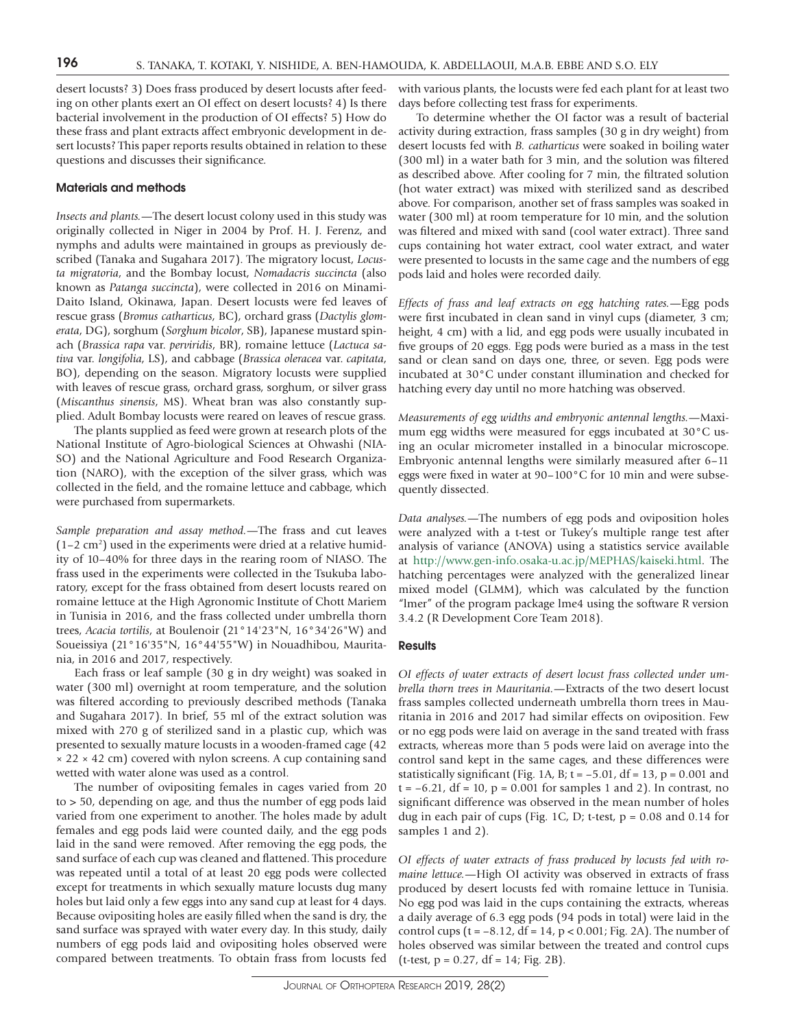desert locusts? 3) Does frass produced by desert locusts after feeding on other plants exert an OI effect on desert locusts? 4) Is there bacterial involvement in the production of OI effects? 5) How do these frass and plant extracts affect embryonic development in desert locusts? This paper reports results obtained in relation to these questions and discusses their significance.

#### Materials and methods

*Insects and plants.*—The desert locust colony used in this study was originally collected in Niger in 2004 by Prof. H. J. Ferenz, and nymphs and adults were maintained in groups as previously described (Tanaka and Sugahara 2017). The migratory locust, *Locusta migratoria*, and the Bombay locust, *Nomadacris succincta* (also known as *Patanga succincta*), were collected in 2016 on Minami-Daito Island, Okinawa, Japan. Desert locusts were fed leaves of rescue grass (*Bromus catharticus*, BC), orchard grass (*Dactylis glomerata*, DG), sorghum (*Sorghum bicolor*, SB), Japanese mustard spinach (*Brassica rapa* var. *perviridis*, BR), romaine lettuce (*Lactuca sativa* var. *longifolia*, LS), and cabbage (*Brassica oleracea* var. *capitata*, BO), depending on the season. Migratory locusts were supplied with leaves of rescue grass, orchard grass, sorghum, or silver grass (*Miscanthus sinensis*, MS). Wheat bran was also constantly supplied. Adult Bombay locusts were reared on leaves of rescue grass.

The plants supplied as feed were grown at research plots of the National Institute of Agro-biological Sciences at Ohwashi (NIA-SO) and the National Agriculture and Food Research Organization (NARO), with the exception of the silver grass, which was collected in the field, and the romaine lettuce and cabbage, which were purchased from supermarkets.

*Sample preparation and assay method.*—The frass and cut leaves  $(1-2 \text{ cm}^2)$  used in the experiments were dried at a relative humidity of 10–40% for three days in the rearing room of NIASO. The frass used in the experiments were collected in the Tsukuba laboratory, except for the frass obtained from desert locusts reared on romaine lettuce at the High Agronomic Institute of Chott Mariem in Tunisia in 2016, and the frass collected under umbrella thorn trees, *Acacia tortilis*, at Boulenoir (21°14'23"N, 16°34'26"W) and Soueissiya (21°16'35"N, 16°44'55"W) in Nouadhibou, Mauritania, in 2016 and 2017, respectively.

Each frass or leaf sample (30 g in dry weight) was soaked in water (300 ml) overnight at room temperature, and the solution was filtered according to previously described methods (Tanaka and Sugahara 2017). In brief, 55 ml of the extract solution was mixed with 270 g of sterilized sand in a plastic cup, which was presented to sexually mature locusts in a wooden-framed cage (42  $\times$  22  $\times$  42 cm) covered with nylon screens. A cup containing sand wetted with water alone was used as a control.

The number of ovipositing females in cages varied from 20 to > 50, depending on age, and thus the number of egg pods laid varied from one experiment to another. The holes made by adult females and egg pods laid were counted daily, and the egg pods laid in the sand were removed. After removing the egg pods, the sand surface of each cup was cleaned and flattened. This procedure was repeated until a total of at least 20 egg pods were collected except for treatments in which sexually mature locusts dug many holes but laid only a few eggs into any sand cup at least for 4 days. Because ovipositing holes are easily filled when the sand is dry, the sand surface was sprayed with water every day. In this study, daily numbers of egg pods laid and ovipositing holes observed were compared between treatments. To obtain frass from locusts fed

with various plants, the locusts were fed each plant for at least two days before collecting test frass for experiments.

To determine whether the OI factor was a result of bacterial activity during extraction, frass samples (30 g in dry weight) from desert locusts fed with *B. catharticus* were soaked in boiling water (300 ml) in a water bath for 3 min, and the solution was filtered as described above. After cooling for 7 min, the filtrated solution (hot water extract) was mixed with sterilized sand as described above. For comparison, another set of frass samples was soaked in water (300 ml) at room temperature for 10 min, and the solution was filtered and mixed with sand (cool water extract). Three sand cups containing hot water extract, cool water extract, and water were presented to locusts in the same cage and the numbers of egg pods laid and holes were recorded daily.

*Effects of frass and leaf extracts on egg hatching rates.*—Egg pods were first incubated in clean sand in vinyl cups (diameter, 3 cm; height, 4 cm) with a lid, and egg pods were usually incubated in five groups of 20 eggs. Egg pods were buried as a mass in the test sand or clean sand on days one, three, or seven. Egg pods were incubated at 30°C under constant illumination and checked for hatching every day until no more hatching was observed.

*Measurements of egg widths and embryonic antennal lengths.*—Maximum egg widths were measured for eggs incubated at 30°C using an ocular micrometer installed in a binocular microscope. Embryonic antennal lengths were similarly measured after 6–11 eggs were fixed in water at 90–100°C for 10 min and were subsequently dissected.

*Data analyses.*—The numbers of egg pods and oviposition holes were analyzed with a t-test or Tukey's multiple range test after analysis of variance (ANOVA) using a statistics service available at [http://www.gen-info.osaka-u.ac.jp/MEPHAS/kaiseki.html.](http://www.gen-info.osaka-u.ac.jp/MEPHAS/kaiseki.html) The hatching percentages were analyzed with the generalized linear mixed model (GLMM), which was calculated by the function "lmer" of the program package lme4 using the software R version 3.4.2 (R Development Core Team 2018).

### **Results**

*OI effects of water extracts of desert locust frass collected under umbrella thorn trees in Mauritania.*—Extracts of the two desert locust frass samples collected underneath umbrella thorn trees in Mauritania in 2016 and 2017 had similar effects on oviposition. Few or no egg pods were laid on average in the sand treated with frass extracts, whereas more than 5 pods were laid on average into the control sand kept in the same cages, and these differences were statistically significant (Fig. 1A, B;  $t = -5.01$ ,  $df = 13$ ,  $p = 0.001$  and  $t = -6.21$ , df = 10, p = 0.001 for samples 1 and 2). In contrast, no significant difference was observed in the mean number of holes dug in each pair of cups (Fig. 1C, D; t-test,  $p = 0.08$  and 0.14 for samples 1 and 2).

*OI effects of water extracts of frass produced by locusts fed with romaine lettuce.*—High OI activity was observed in extracts of frass produced by desert locusts fed with romaine lettuce in Tunisia. No egg pod was laid in the cups containing the extracts, whereas a daily average of 6.3 egg pods (94 pods in total) were laid in the control cups ( $t = -8.12$ ,  $df = 14$ ,  $p < 0.001$ ; Fig. 2A). The number of holes observed was similar between the treated and control cups  $(t-test, p = 0.27, df = 14; Fig. 2B).$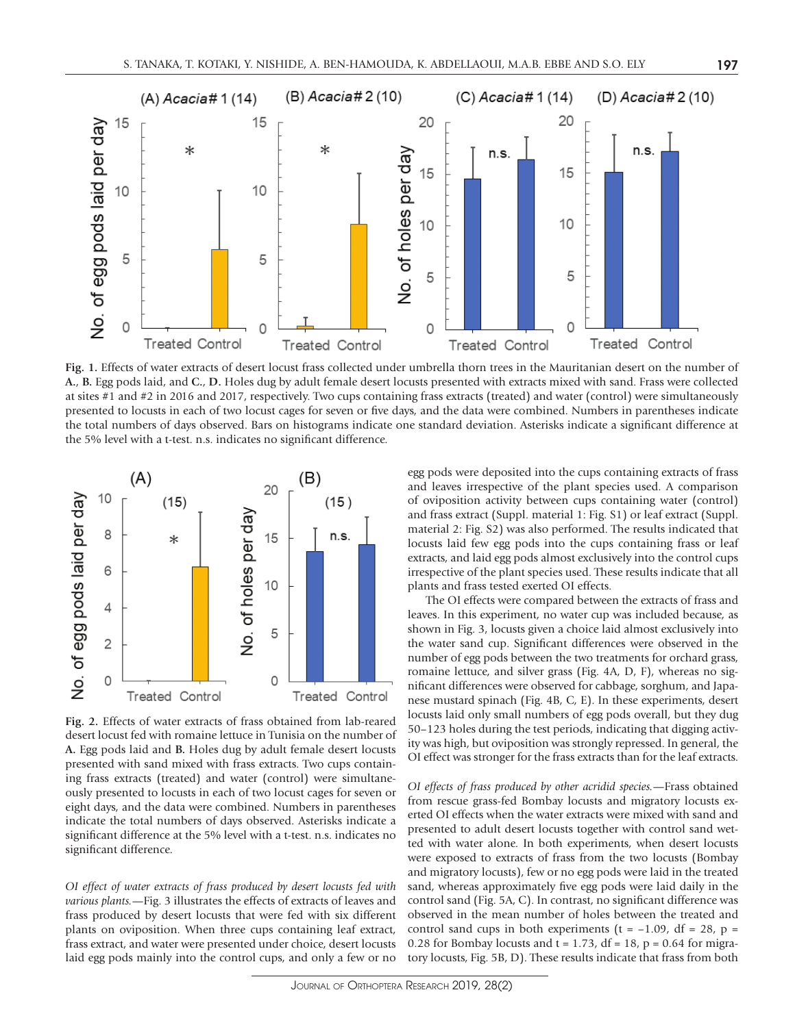

**Fig. 1.** Effects of water extracts of desert locust frass collected under umbrella thorn trees in the Mauritanian desert on the number of **A.**, **B.** Egg pods laid, and **C.**, **D.** Holes dug by adult female desert locusts presented with extracts mixed with sand. Frass were collected at sites #1 and #2 in 2016 and 2017, respectively. Two cups containing frass extracts (treated) and water (control) were simultaneously presented to locusts in each of two locust cages for seven or five days, and the data were combined. Numbers in parentheses indicate the total numbers of days observed. Bars on histograms indicate one standard deviation. Asterisks indicate a significant difference at the 5% level with a t-test. n.s. indicates no significant difference.



**Fig. 2.** Effects of water extracts of frass obtained from lab-reared desert locust fed with romaine lettuce in Tunisia on the number of **A.** Egg pods laid and **B.** Holes dug by adult female desert locusts presented with sand mixed with frass extracts. Two cups containing frass extracts (treated) and water (control) were simultaneously presented to locusts in each of two locust cages for seven or eight days, and the data were combined. Numbers in parentheses indicate the total numbers of days observed. Asterisks indicate a significant difference at the 5% level with a t-test. n.s. indicates no significant difference.

*OI effect of water extracts of frass produced by desert locusts fed with various plants.*—Fig. 3 illustrates the effects of extracts of leaves and frass produced by desert locusts that were fed with six different plants on oviposition. When three cups containing leaf extract, frass extract, and water were presented under choice, desert locusts laid egg pods mainly into the control cups, and only a few or no egg pods were deposited into the cups containing extracts of frass and leaves irrespective of the plant species used. A comparison of oviposition activity between cups containing water (control) and frass extract (Suppl. material 1: Fig. S1) or leaf extract (Suppl. material 2: Fig. S2) was also performed. The results indicated that locusts laid few egg pods into the cups containing frass or leaf extracts, and laid egg pods almost exclusively into the control cups irrespective of the plant species used. These results indicate that all plants and frass tested exerted OI effects.

The OI effects were compared between the extracts of frass and leaves. In this experiment, no water cup was included because, as shown in Fig. 3, locusts given a choice laid almost exclusively into the water sand cup. Significant differences were observed in the number of egg pods between the two treatments for orchard grass, romaine lettuce, and silver grass (Fig. 4A, D, F), whereas no significant differences were observed for cabbage, sorghum, and Japanese mustard spinach (Fig. 4B, C, E). In these experiments, desert locusts laid only small numbers of egg pods overall, but they dug 50–123 holes during the test periods, indicating that digging activity was high, but oviposition was strongly repressed. In general, the OI effect was stronger for the frass extracts than for the leaf extracts.

*OI effects of frass produced by other acridid species.*—Frass obtained from rescue grass-fed Bombay locusts and migratory locusts exerted OI effects when the water extracts were mixed with sand and presented to adult desert locusts together with control sand wetted with water alone. In both experiments, when desert locusts were exposed to extracts of frass from the two locusts (Bombay and migratory locusts), few or no egg pods were laid in the treated sand, whereas approximately five egg pods were laid daily in the control sand (Fig. 5A, C). In contrast, no significant difference was observed in the mean number of holes between the treated and control sand cups in both experiments ( $t = -1.09$ , df = 28,  $p =$ 0.28 for Bombay locusts and  $t = 1.73$ , df = 18, p = 0.64 for migratory locusts, Fig. 5B, D). These results indicate that frass from both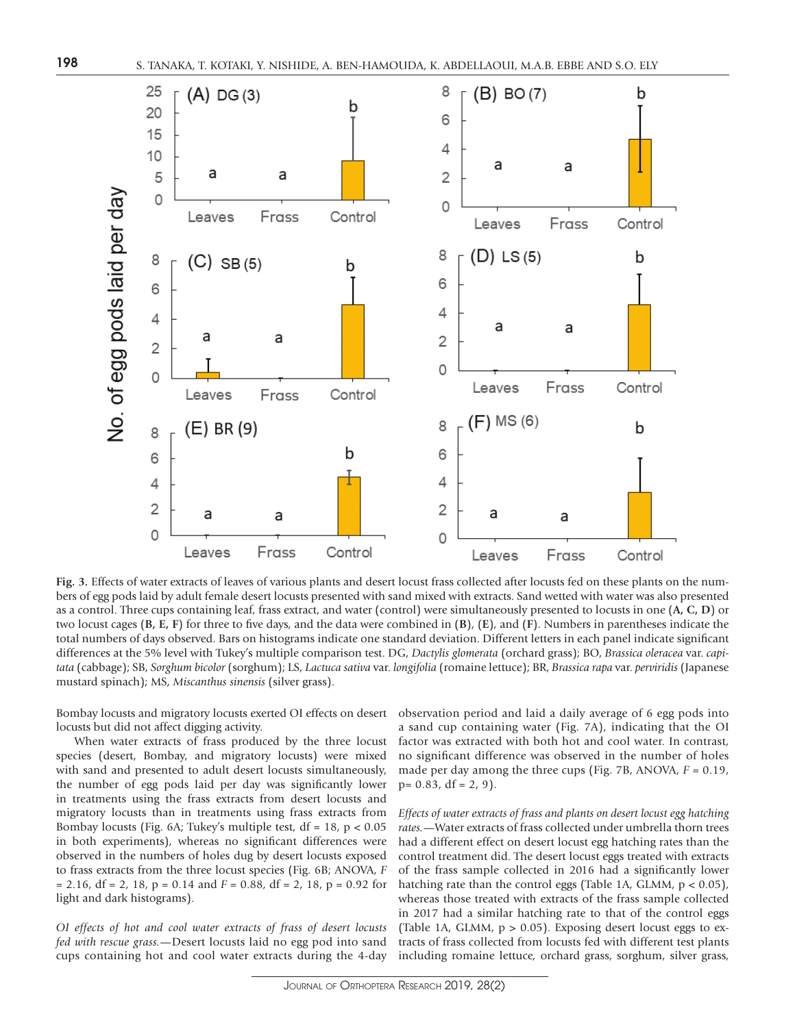

**Fig. 3.** Effects of water extracts of leaves of various plants and desert locust frass collected after locusts fed on these plants on the numbers of egg pods laid by adult female desert locusts presented with sand mixed with extracts. Sand wetted with water was also presented as a control. Three cups containing leaf, frass extract, and water (control) were simultaneously presented to locusts in one (**A, C, D**) or two locust cages (**B, E, F**) for three to five days, and the data were combined in (**B**), (**E**), and (**F**). Numbers in parentheses indicate the total numbers of days observed. Bars on histograms indicate one standard deviation. Different letters in each panel indicate significant differences at the 5% level with Tukey's multiple comparison test. DG, *Dactylis glomerata* (orchard grass); BO, *Brassica oleracea* var. *capitata* (cabbage); SB, *Sorghum bicolor* (sorghum); LS, *Lactuca sativa* var. *longifolia* (romaine lettuce); BR, *Brassica rapa* var. *perviridis* (Japanese mustard spinach); MS, *Miscanthus sinensis* (silver grass).

Bombay locusts and migratory locusts exerted OI effects on desert locusts but did not affect digging activity.

When water extracts of frass produced by the three locust species (desert, Bombay, and migratory locusts) were mixed with sand and presented to adult desert locusts simultaneously, the number of egg pods laid per day was significantly lower in treatments using the frass extracts from desert locusts and migratory locusts than in treatments using frass extracts from Bombay locusts (Fig. 6A; Tukey's multiple test,  $df = 18$ ,  $p < 0.05$ in both experiments), whereas no significant differences were observed in the numbers of holes dug by desert locusts exposed to frass extracts from the three locust species (Fig. 6B; ANOVA, *F* = 2.16, df = 2, 18, p = 0.14 and *F* = 0.88, df = 2, 18, p = 0.92 for light and dark histograms).

*OI effects of hot and cool water extracts of frass of desert locusts fed with rescue grass.*—Desert locusts laid no egg pod into sand cups containing hot and cool water extracts during the 4-day

observation period and laid a daily average of 6 egg pods into a sand cup containing water (Fig. 7A), indicating that the OI factor was extracted with both hot and cool water. In contrast, no significant difference was observed in the number of holes made per day among the three cups (Fig. 7B, ANOVA, *F* = 0.19,  $p= 0.83$ , df = 2, 9).

*Effects of water extracts of frass and plants on desert locust egg hatching rates.*—Water extracts of frass collected under umbrella thorn trees had a different effect on desert locust egg hatching rates than the control treatment did. The desert locust eggs treated with extracts of the frass sample collected in 2016 had a significantly lower hatching rate than the control eggs (Table 1A, GLMM, p < 0.05), whereas those treated with extracts of the frass sample collected in 2017 had a similar hatching rate to that of the control eggs (Table 1A, GLMM,  $p > 0.05$ ). Exposing desert locust eggs to extracts of frass collected from locusts fed with different test plants including romaine lettuce, orchard grass, sorghum, silver grass,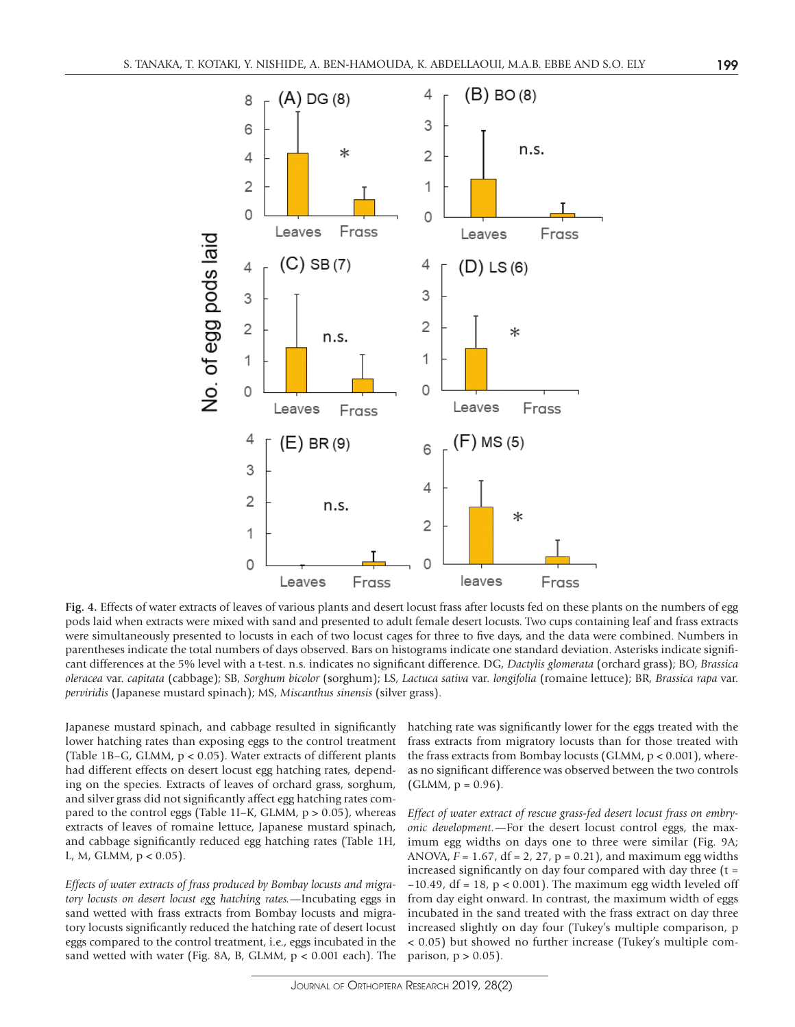

**Fig. 4.** Effects of water extracts of leaves of various plants and desert locust frass after locusts fed on these plants on the numbers of egg pods laid when extracts were mixed with sand and presented to adult female desert locusts. Two cups containing leaf and frass extracts were simultaneously presented to locusts in each of two locust cages for three to five days, and the data were combined. Numbers in parentheses indicate the total numbers of days observed. Bars on histograms indicate one standard deviation. Asterisks indicate significant differences at the 5% level with a t-test. n.s. indicates no significant difference. DG, *Dactylis glomerata* (orchard grass); BO, *Brassica oleracea* var. *capitata* (cabbage); SB, *Sorghum bicolor* (sorghum); LS, *Lactuca sativa* var. *longifolia* (romaine lettuce); BR, *Brassica rapa* var. *perviridis* (Japanese mustard spinach); MS, *Miscanthus sinensis* (silver grass).

Japanese mustard spinach, and cabbage resulted in significantly lower hatching rates than exposing eggs to the control treatment (Table 1B–G, GLMM, p < 0.05). Water extracts of different plants had different effects on desert locust egg hatching rates, depending on the species. Extracts of leaves of orchard grass, sorghum, and silver grass did not significantly affect egg hatching rates compared to the control eggs (Table 1I-K, GLMM, p > 0.05), whereas extracts of leaves of romaine lettuce, Japanese mustard spinach, and cabbage significantly reduced egg hatching rates (Table 1H, L, M, GLMM,  $p < 0.05$ ).

*Effects of water extracts of frass produced by Bombay locusts and migratory locusts on desert locust egg hatching rates.*—Incubating eggs in sand wetted with frass extracts from Bombay locusts and migratory locusts significantly reduced the hatching rate of desert locust eggs compared to the control treatment, i.e., eggs incubated in the sand wetted with water (Fig. 8A, B, GLMM, p < 0.001 each). The hatching rate was significantly lower for the eggs treated with the frass extracts from migratory locusts than for those treated with the frass extracts from Bombay locusts (GLMM,  $p < 0.001$ ), whereas no significant difference was observed between the two controls  $(GLMM, p = 0.96)$ .

*Effect of water extract of rescue grass-fed desert locust frass on embryonic development.*—For the desert locust control eggs, the maximum egg widths on days one to three were similar (Fig. 9A; ANOVA, *F* = 1.67, df = 2, 27, p = 0.21), and maximum egg widths increased significantly on day four compared with day three  $(t =$  $-10.49$ , df = 18, p < 0.001). The maximum egg width leveled off from day eight onward. In contrast, the maximum width of eggs incubated in the sand treated with the frass extract on day three increased slightly on day four (Tukey's multiple comparison, p < 0.05) but showed no further increase (Tukey's multiple comparison,  $p > 0.05$ ).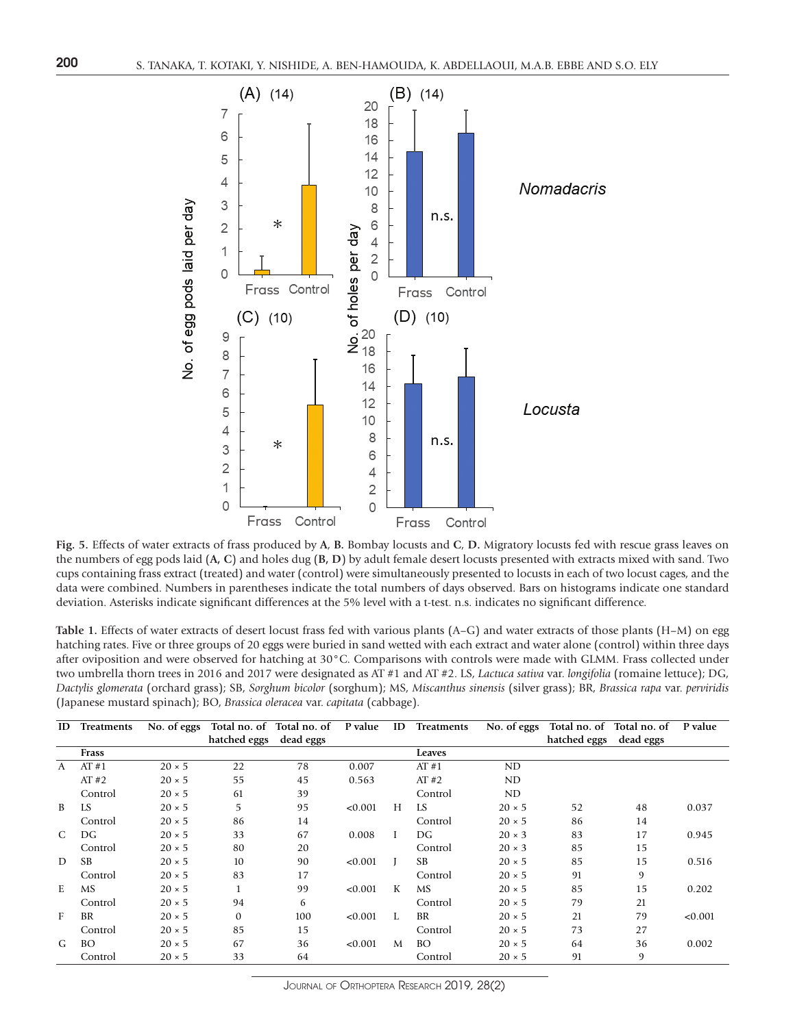

**Fig. 5.** Effects of water extracts of frass produced by **A**, **B.** Bombay locusts and **C**, **D.** Migratory locusts fed with rescue grass leaves on the numbers of egg pods laid (**A, C**) and holes dug (**B, D**) by adult female desert locusts presented with extracts mixed with sand. Two cups containing frass extract (treated) and water (control) were simultaneously presented to locusts in each of two locust cages, and the data were combined. Numbers in parentheses indicate the total numbers of days observed. Bars on histograms indicate one standard deviation. Asterisks indicate significant differences at the 5% level with a t-test. n.s. indicates no significant difference.

**Table 1.** Effects of water extracts of desert locust frass fed with various plants (A–G) and water extracts of those plants (H–M) on egg hatching rates. Five or three groups of 20 eggs were buried in sand wetted with each extract and water alone (control) within three days after oviposition and were observed for hatching at 30°C. Comparisons with controls were made with GLMM. Frass collected under two umbrella thorn trees in 2016 and 2017 were designated as AT #1 and AT #2. LS, *Lactuca sativa* var. *longifolia* (romaine lettuce); DG, *Dactylis glomerata* (orchard grass); SB, *Sorghum bicolor* (sorghum); MS, *Miscanthus sinensis* (silver grass); BR, *Brassica rapa* var. *perviridis* (Japanese mustard spinach); BO, *Brassica oleracea* var. *capitata* (cabbage).

| ID           | Treatments | No. of eggs   | Total no. of Total no. of |           | P value | ID | Treatments | $\overline{N}$ o. of eggs | Total no. of Total no. of |           | P value |
|--------------|------------|---------------|---------------------------|-----------|---------|----|------------|---------------------------|---------------------------|-----------|---------|
|              |            |               | hatched eggs              | dead eggs |         |    |            |                           | hatched eggs              | dead eggs |         |
|              | Frass      |               |                           |           |         |    | Leaves     |                           |                           |           |         |
| $\mathsf{A}$ | AT#1       | $20 \times 5$ | 22                        | 78        | 0.007   |    | AT#1       | ND                        |                           |           |         |
|              | AT#2       | $20 \times 5$ | 55                        | 45        | 0.563   |    | AT#2       | ND                        |                           |           |         |
|              | Control    | $20 \times 5$ | 61                        | 39        |         |    | Control    | ND                        |                           |           |         |
| B            | LS         | $20 \times 5$ | 5                         | 95        | < 0.001 | H  | LS         | $20 \times 5$             | 52                        | 48        | 0.037   |
|              | Control    | $20 \times 5$ | 86                        | 14        |         |    | Control    | $20 \times 5$             | 86                        | 14        |         |
| C            | DG         | $20 \times 5$ | 33                        | 67        | 0.008   |    | DG         | $20 \times 3$             | 83                        | 17        | 0.945   |
|              | Control    | $20 \times 5$ | 80                        | 20        |         |    | Control    | $20 \times 3$             | 85                        | 15        |         |
| D            | <b>SB</b>  | $20 \times 5$ | 10                        | 90        | < 0.001 |    | <b>SB</b>  | $20 \times 5$             | 85                        | 15        | 0.516   |
|              | Control    | $20 \times 5$ | 83                        | 17        |         |    | Control    | $20 \times 5$             | 91                        | 9         |         |
| E            | <b>MS</b>  | $20 \times 5$ | $\mathbf{1}$              | 99        | < 0.001 | K  | MS         | $20 \times 5$             | 85                        | 15        | 0.202   |
|              | Control    | $20 \times 5$ | 94                        | 6         |         |    | Control    | $20 \times 5$             | 79                        | 21        |         |
| F            | BR         | $20 \times 5$ | $\mathbf{0}$              | 100       | < 0.001 | Т. | BR         | $20 \times 5$             | 21                        | 79        | < 0.001 |
|              | Control    | $20 \times 5$ | 85                        | 15        |         |    | Control    | $20 \times 5$             | 73                        | 27        |         |
| G            | <b>BO</b>  | $20 \times 5$ | 67                        | 36        | < 0.001 | M  | <b>BO</b>  | $20 \times 5$             | 64                        | 36        | 0.002   |
|              | Control    | $20 \times 5$ | 33                        | 64        |         |    | Control    | $20 \times 5$             | 91                        | 9         |         |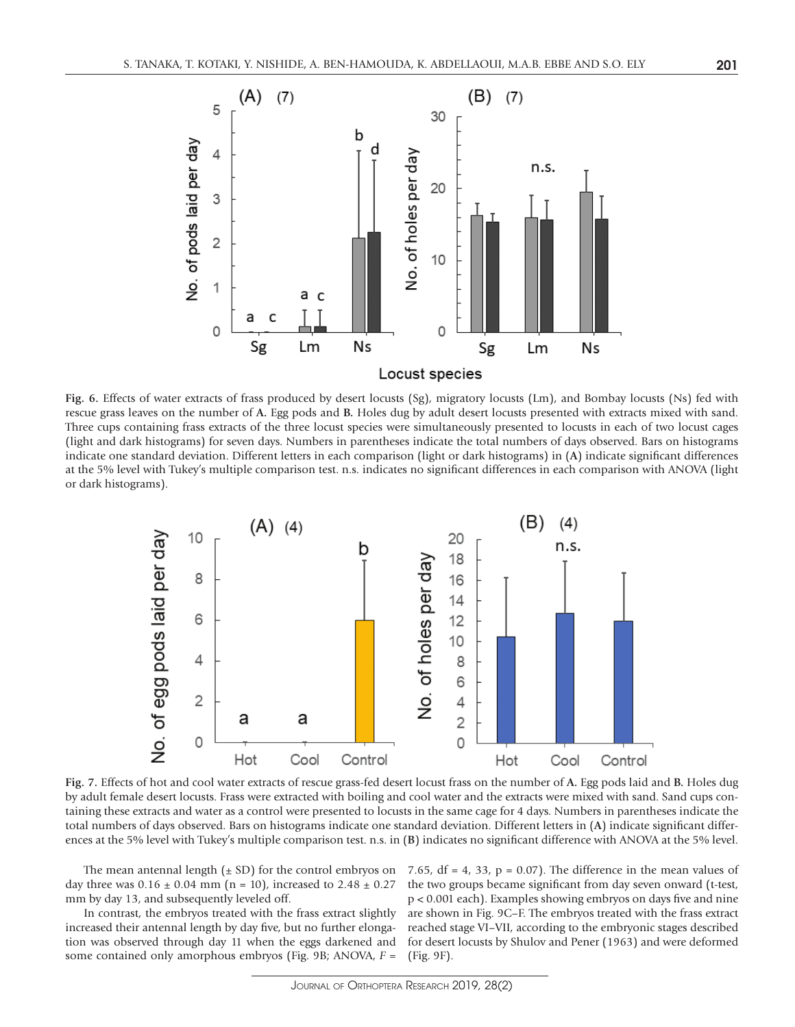

**Fig. 6.** Effects of water extracts of frass produced by desert locusts (Sg), migratory locusts (Lm), and Bombay locusts (Ns) fed with rescue grass leaves on the number of **A.** Egg pods and **B.** Holes dug by adult desert locusts presented with extracts mixed with sand. Three cups containing frass extracts of the three locust species were simultaneously presented to locusts in each of two locust cages (light and dark histograms) for seven days. Numbers in parentheses indicate the total numbers of days observed. Bars on histograms indicate one standard deviation. Different letters in each comparison (light or dark histograms) in (**A**) indicate significant differences at the 5% level with Tukey's multiple comparison test. n.s. indicates no significant differences in each comparison with ANOVA (light or dark histograms).



**Fig. 7.** Effects of hot and cool water extracts of rescue grass-fed desert locust frass on the number of **A.** Egg pods laid and **B.** Holes dug by adult female desert locusts. Frass were extracted with boiling and cool water and the extracts were mixed with sand. Sand cups containing these extracts and water as a control were presented to locusts in the same cage for 4 days. Numbers in parentheses indicate the total numbers of days observed. Bars on histograms indicate one standard deviation. Different letters in (**A**) indicate significant differences at the 5% level with Tukey's multiple comparison test. n.s. in (**B**) indicates no significant difference with ANOVA at the 5% level.

day three was  $0.16 \pm 0.04$  mm (n = 10), increased to  $2.48 \pm 0.27$ mm by day 13, and subsequently leveled off.

In contrast, the embryos treated with the frass extract slightly increased their antennal length by day five, but no further elongation was observed through day 11 when the eggs darkened and some contained only amorphous embryos (Fig. 9B; ANOVA, *F* =

The mean antennal length  $(\pm SD)$  for the control embryos on 7.65, df = 4, 33, p = 0.07). The difference in the mean values of the two groups became significant from day seven onward (t-test, p < 0.001 each). Examples showing embryos on days five and nine are shown in Fig. 9C–F. The embryos treated with the frass extract reached stage VI–VII, according to the embryonic stages described for desert locusts by Shulov and Pener (1963) and were deformed (Fig. 9F).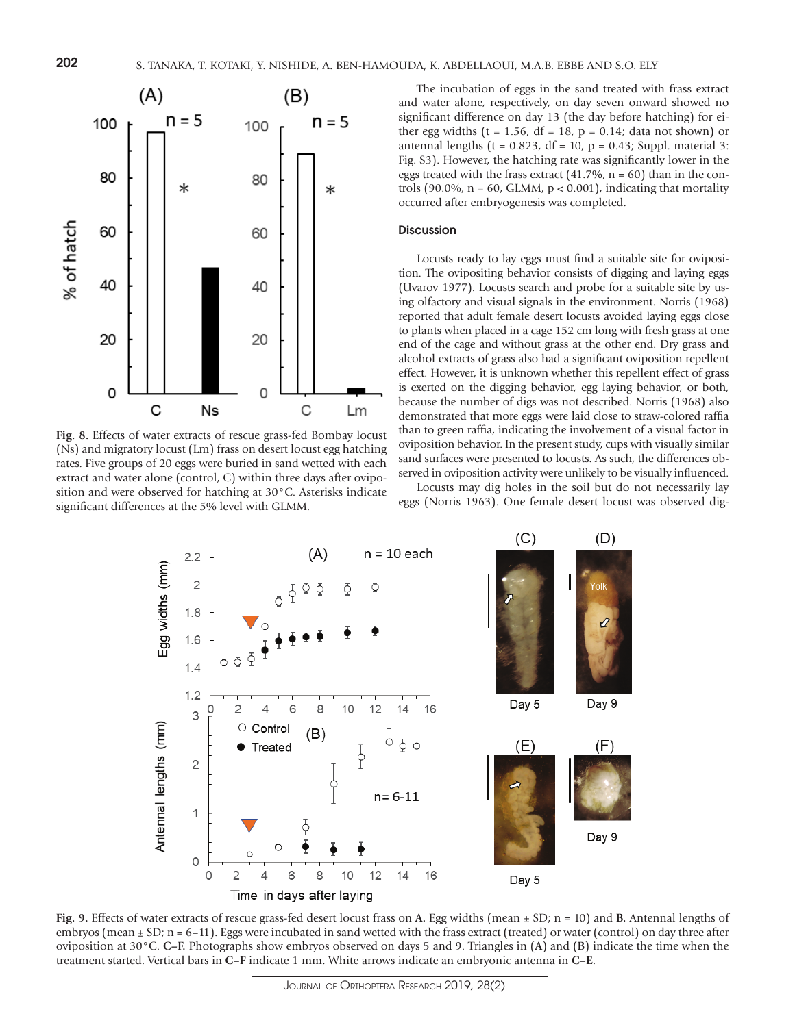

**Fig. 8.** Effects of water extracts of rescue grass-fed Bombay locust (Ns) and migratory locust (Lm) frass on desert locust egg hatching rates. Five groups of 20 eggs were buried in sand wetted with each extract and water alone (control, C) within three days after oviposition and were observed for hatching at 30°C. Asterisks indicate significant differences at the 5% level with GLMM.

The incubation of eggs in the sand treated with frass extract and water alone, respectively, on day seven onward showed no significant difference on day 13 (the day before hatching) for either egg widths ( $t = 1.56$ ,  $df = 18$ ,  $p = 0.14$ ; data not shown) or antennal lengths ( $t = 0.823$ , df = 10,  $p = 0.43$ ; Suppl. material 3: Fig. S3). However, the hatching rate was significantly lower in the eggs treated with the frass extract  $(41.7\%, n = 60)$  than in the controls (90.0%,  $n = 60$ , GLMM,  $p < 0.001$ ), indicating that mortality occurred after embryogenesis was completed.

#### **Discussion**

Locusts ready to lay eggs must find a suitable site for oviposition. The ovipositing behavior consists of digging and laying eggs (Uvarov 1977). Locusts search and probe for a suitable site by using olfactory and visual signals in the environment. Norris (1968) reported that adult female desert locusts avoided laying eggs close to plants when placed in a cage 152 cm long with fresh grass at one end of the cage and without grass at the other end. Dry grass and alcohol extracts of grass also had a significant oviposition repellent effect. However, it is unknown whether this repellent effect of grass is exerted on the digging behavior, egg laying behavior, or both, because the number of digs was not described. Norris (1968) also demonstrated that more eggs were laid close to straw-colored raffia than to green raffia, indicating the involvement of a visual factor in oviposition behavior. In the present study, cups with visually similar sand surfaces were presented to locusts. As such, the differences observed in oviposition activity were unlikely to be visually influenced.

Locusts may dig holes in the soil but do not necessarily lay eggs (Norris 1963). One female desert locust was observed dig-



**Fig. 9.** Effects of water extracts of rescue grass-fed desert locust frass on **A.** Egg widths (mean ± SD; n = 10) and **B.** Antennal lengths of embryos (mean  $\pm$  SD; n = 6–11). Eggs were incubated in sand wetted with the frass extract (treated) or water (control) on day three after oviposition at 30°C. **C–F.** Photographs show embryos observed on days 5 and 9. Triangles in (**A**) and (**B**) indicate the time when the treatment started. Vertical bars in **C–F** indicate 1 mm. White arrows indicate an embryonic antenna in **C–E**.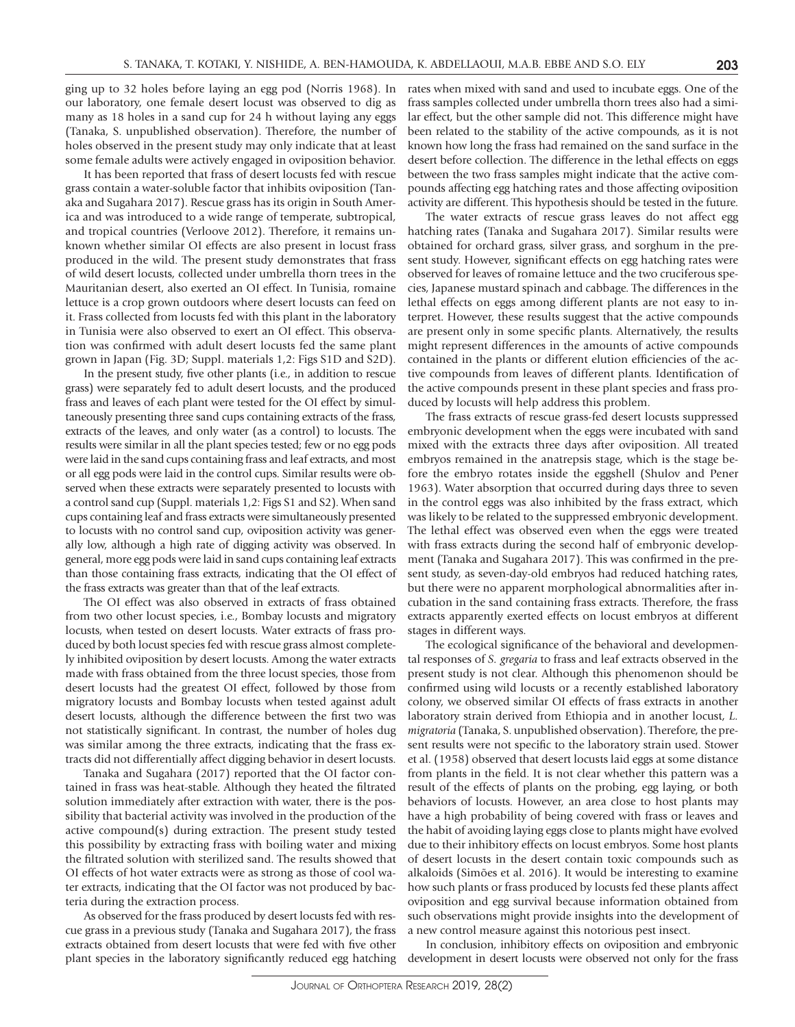ging up to 32 holes before laying an egg pod (Norris 1968). In our laboratory, one female desert locust was observed to dig as many as 18 holes in a sand cup for 24 h without laying any eggs (Tanaka, S. unpublished observation). Therefore, the number of holes observed in the present study may only indicate that at least some female adults were actively engaged in oviposition behavior.

It has been reported that frass of desert locusts fed with rescue grass contain a water-soluble factor that inhibits oviposition (Tanaka and Sugahara 2017). Rescue grass has its origin in South America and was introduced to a wide range of temperate, subtropical, and tropical countries (Verloove 2012). Therefore, it remains unknown whether similar OI effects are also present in locust frass produced in the wild. The present study demonstrates that frass of wild desert locusts, collected under umbrella thorn trees in the Mauritanian desert, also exerted an OI effect. In Tunisia, romaine lettuce is a crop grown outdoors where desert locusts can feed on it. Frass collected from locusts fed with this plant in the laboratory in Tunisia were also observed to exert an OI effect. This observation was confirmed with adult desert locusts fed the same plant grown in Japan (Fig. 3D; Suppl. materials 1,2: Figs S1D and S2D).

In the present study, five other plants (i.e., in addition to rescue grass) were separately fed to adult desert locusts, and the produced frass and leaves of each plant were tested for the OI effect by simultaneously presenting three sand cups containing extracts of the frass, extracts of the leaves, and only water (as a control) to locusts. The results were similar in all the plant species tested; few or no egg pods were laid in the sand cups containing frass and leaf extracts, and most or all egg pods were laid in the control cups. Similar results were observed when these extracts were separately presented to locusts with a control sand cup (Suppl. materials 1,2: Figs S1 and S2). When sand cups containing leaf and frass extracts were simultaneously presented to locusts with no control sand cup, oviposition activity was generally low, although a high rate of digging activity was observed. In general, more egg pods were laid in sand cups containing leaf extracts than those containing frass extracts, indicating that the OI effect of the frass extracts was greater than that of the leaf extracts.

The OI effect was also observed in extracts of frass obtained from two other locust species, i.e., Bombay locusts and migratory locusts, when tested on desert locusts. Water extracts of frass produced by both locust species fed with rescue grass almost completely inhibited oviposition by desert locusts. Among the water extracts made with frass obtained from the three locust species, those from desert locusts had the greatest OI effect, followed by those from migratory locusts and Bombay locusts when tested against adult desert locusts, although the difference between the first two was not statistically significant. In contrast, the number of holes dug was similar among the three extracts, indicating that the frass extracts did not differentially affect digging behavior in desert locusts.

Tanaka and Sugahara (2017) reported that the OI factor contained in frass was heat-stable. Although they heated the filtrated solution immediately after extraction with water, there is the possibility that bacterial activity was involved in the production of the active compound(s) during extraction. The present study tested this possibility by extracting frass with boiling water and mixing the filtrated solution with sterilized sand. The results showed that OI effects of hot water extracts were as strong as those of cool water extracts, indicating that the OI factor was not produced by bacteria during the extraction process.

As observed for the frass produced by desert locusts fed with rescue grass in a previous study (Tanaka and Sugahara 2017), the frass extracts obtained from desert locusts that were fed with five other plant species in the laboratory significantly reduced egg hatching

rates when mixed with sand and used to incubate eggs. One of the frass samples collected under umbrella thorn trees also had a similar effect, but the other sample did not. This difference might have been related to the stability of the active compounds, as it is not known how long the frass had remained on the sand surface in the desert before collection. The difference in the lethal effects on eggs between the two frass samples might indicate that the active compounds affecting egg hatching rates and those affecting oviposition activity are different. This hypothesis should be tested in the future.

The water extracts of rescue grass leaves do not affect egg hatching rates (Tanaka and Sugahara 2017). Similar results were obtained for orchard grass, silver grass, and sorghum in the present study. However, significant effects on egg hatching rates were observed for leaves of romaine lettuce and the two cruciferous species, Japanese mustard spinach and cabbage. The differences in the lethal effects on eggs among different plants are not easy to interpret. However, these results suggest that the active compounds are present only in some specific plants. Alternatively, the results might represent differences in the amounts of active compounds contained in the plants or different elution efficiencies of the active compounds from leaves of different plants. Identification of the active compounds present in these plant species and frass produced by locusts will help address this problem.

The frass extracts of rescue grass-fed desert locusts suppressed embryonic development when the eggs were incubated with sand mixed with the extracts three days after oviposition. All treated embryos remained in the anatrepsis stage, which is the stage before the embryo rotates inside the eggshell (Shulov and Pener 1963). Water absorption that occurred during days three to seven in the control eggs was also inhibited by the frass extract, which was likely to be related to the suppressed embryonic development. The lethal effect was observed even when the eggs were treated with frass extracts during the second half of embryonic development (Tanaka and Sugahara 2017). This was confirmed in the present study, as seven-day-old embryos had reduced hatching rates, but there were no apparent morphological abnormalities after incubation in the sand containing frass extracts. Therefore, the frass extracts apparently exerted effects on locust embryos at different stages in different ways.

The ecological significance of the behavioral and developmental responses of *S. gregaria* to frass and leaf extracts observed in the present study is not clear. Although this phenomenon should be confirmed using wild locusts or a recently established laboratory colony, we observed similar OI effects of frass extracts in another laboratory strain derived from Ethiopia and in another locust, *L. migratoria* (Tanaka, S. unpublished observation). Therefore, the present results were not specific to the laboratory strain used. Stower et al. (1958) observed that desert locusts laid eggs at some distance from plants in the field. It is not clear whether this pattern was a result of the effects of plants on the probing, egg laying, or both behaviors of locusts. However, an area close to host plants may have a high probability of being covered with frass or leaves and the habit of avoiding laying eggs close to plants might have evolved due to their inhibitory effects on locust embryos. Some host plants of desert locusts in the desert contain toxic compounds such as alkaloids (Simões et al. 2016). It would be interesting to examine how such plants or frass produced by locusts fed these plants affect oviposition and egg survival because information obtained from such observations might provide insights into the development of a new control measure against this notorious pest insect.

In conclusion, inhibitory effects on oviposition and embryonic development in desert locusts were observed not only for the frass